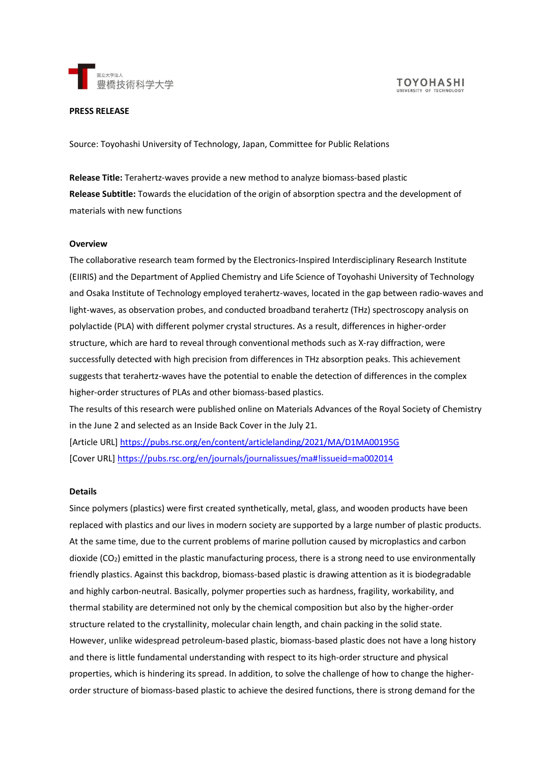

# **PRESS RELEASE**

Source: Toyohashi University of Technology, Japan, Committee for Public Relations

**Release Title:** Terahertz-waves provide a new method to analyze biomass-based plastic **Release Subtitle:** Towards the elucidation of the origin of absorption spectra and the development of materials with new functions

## **Overview**

The collaborative research team formed by the Electronics-Inspired Interdisciplinary Research Institute (EIIRIS) and the Department of Applied Chemistry and Life Science of Toyohashi University of Technology and Osaka Institute of Technology employed terahertz-waves, located in the gap between radio-waves and light-waves, as observation probes, and conducted broadband terahertz (THz) spectroscopy analysis on polylactide (PLA) with different polymer crystal structures. As a result, differences in higher-order structure, which are hard to reveal through conventional methods such as X-ray diffraction, were successfully detected with high precision from differences in THz absorption peaks. This achievement suggests that terahertz-waves have the potential to enable the detection of differences in the complex higher-order structures of PLAs and other biomass-based plastics.

The results of this research were published online on Materials Advances of the Royal Society of Chemistry in the June 2 and selected as an Inside Back Cover in the July 21.

[Article URL] <https://pubs.rsc.org/en/content/articlelanding/2021/MA/D1MA00195G> [Cover URL] [https://pubs.rsc.org/en/journals/journalissues/ma#!issueid=ma002014](https://pubs.rsc.org/en/journals/journalissues/ma%23!issueid=ma002014)

#### **Details**

Since polymers (plastics) were first created synthetically, metal, glass, and wooden products have been replaced with plastics and our lives in modern society are supported by a large number of plastic products. At the same time, due to the current problems of marine pollution caused by microplastics and carbon dioxide (CO2) emitted in the plastic manufacturing process, there is a strong need to use environmentally friendly plastics. Against this backdrop, biomass-based plastic is drawing attention as it is biodegradable and highly carbon-neutral. Basically, polymer properties such as hardness, fragility, workability, and thermal stability are determined not only by the chemical composition but also by the higher-order structure related to the crystallinity, molecular chain length, and chain packing in the solid state. However, unlike widespread petroleum-based plastic, biomass-based plastic does not have a long history and there is little fundamental understanding with respect to its high-order structure and physical properties, which is hindering its spread. In addition, to solve the challenge of how to change the higherorder structure of biomass-based plastic to achieve the desired functions, there is strong demand for the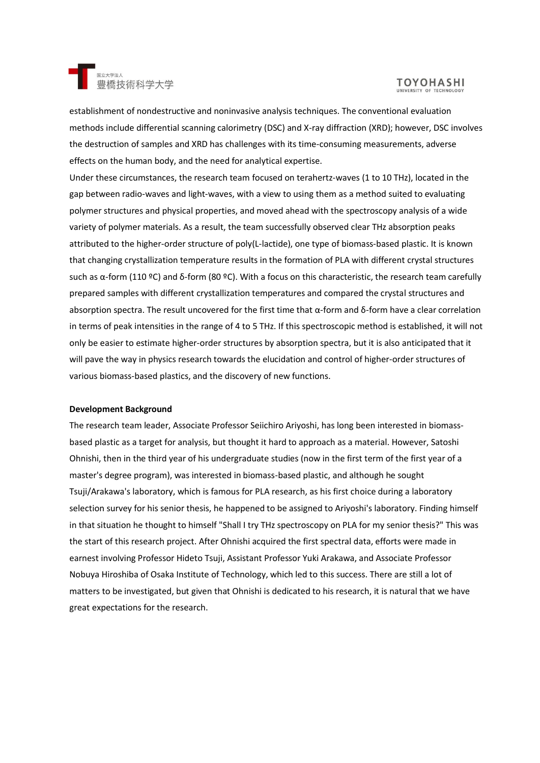

# **TOYOHASHI**

establishment of nondestructive and noninvasive analysis techniques. The conventional evaluation methods include differential scanning calorimetry (DSC) and X-ray diffraction (XRD); however, DSC involves the destruction of samples and XRD has challenges with its time-consuming measurements, adverse effects on the human body, and the need for analytical expertise.

Under these circumstances, the research team focused on terahertz-waves (1 to 10 THz), located in the gap between radio-waves and light-waves, with a view to using them as a method suited to evaluating polymer structures and physical properties, and moved ahead with the spectroscopy analysis of a wide variety of polymer materials. As a result, the team successfully observed clear THz absorption peaks attributed to the higher-order structure of poly(L-lactide), one type of biomass-based plastic. It is known that changing crystallization temperature results in the formation of PLA with different crystal structures such as α-form (110 ºC) and δ-form (80 ºC). With a focus on this characteristic, the research team carefully prepared samples with different crystallization temperatures and compared the crystal structures and absorption spectra. The result uncovered for the first time that α-form and δ-form have a clear correlation in terms of peak intensities in the range of 4 to 5 THz. If this spectroscopic method is established, it will not only be easier to estimate higher-order structures by absorption spectra, but it is also anticipated that it will pave the way in physics research towards the elucidation and control of higher-order structures of various biomass-based plastics, and the discovery of new functions.

## **Development Background**

The research team leader, Associate Professor Seiichiro Ariyoshi, has long been interested in biomassbased plastic as a target for analysis, but thought it hard to approach as a material. However, Satoshi Ohnishi, then in the third year of his undergraduate studies (now in the first term of the first year of a master's degree program), was interested in biomass-based plastic, and although he sought Tsuji/Arakawa's laboratory, which is famous for PLA research, as his first choice during a laboratory selection survey for his senior thesis, he happened to be assigned to Ariyoshi's laboratory. Finding himself in that situation he thought to himself "Shall I try THz spectroscopy on PLA for my senior thesis?" This was the start of this research project. After Ohnishi acquired the first spectral data, efforts were made in earnest involving Professor Hideto Tsuji, Assistant Professor Yuki Arakawa, and Associate Professor Nobuya Hiroshiba of Osaka Institute of Technology, which led to this success. There are still a lot of matters to be investigated, but given that Ohnishi is dedicated to his research, it is natural that we have great expectations for the research.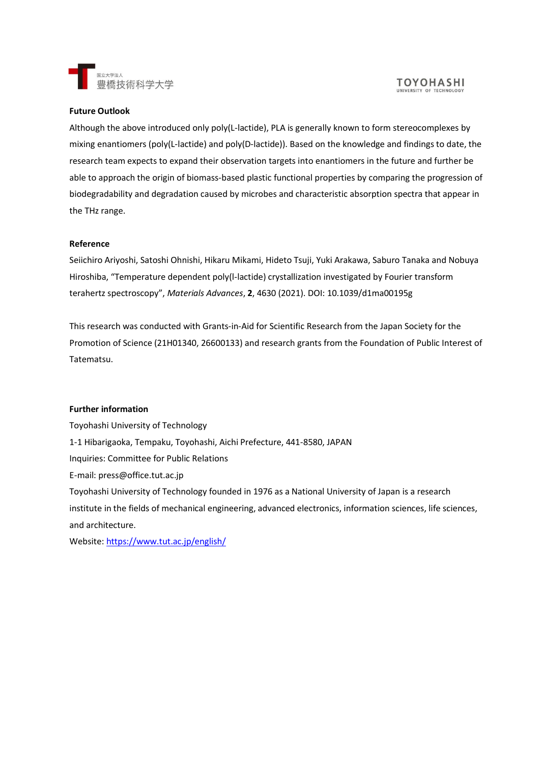

#### **TOYOHASHI** UNIVERSITY OF TECHNOLO

# **Future Outlook**

Although the above introduced only poly(L-lactide), PLA is generally known to form stereocomplexes by mixing enantiomers (poly(L-lactide) and poly(D-lactide)). Based on the knowledge and findings to date, the research team expects to expand their observation targets into enantiomers in the future and further be able to approach the origin of biomass-based plastic functional properties by comparing the progression of biodegradability and degradation caused by microbes and characteristic absorption spectra that appear in the THz range.

# **Reference**

Seiichiro Ariyoshi, Satoshi Ohnishi, Hikaru Mikami, Hideto Tsuji, Yuki Arakawa, Saburo Tanaka and Nobuya Hiroshiba, "Temperature dependent poly(l-lactide) crystallization investigated by Fourier transform terahertz spectroscopy", *Materials Advances*, **2**, 4630 (2021). DOI: 10.1039/d1ma00195g

This research was conducted with Grants-in-Aid for Scientific Research from the Japan Society for the Promotion of Science (21H01340, 26600133) and research grants from the Foundation of Public Interest of Tatematsu.

## **Further information**

Toyohashi University of Technology 1-1 Hibarigaoka, Tempaku, Toyohashi, Aichi Prefecture, 441-8580, JAPAN Inquiries: Committee for Public Relations E-mail: press@office.tut.ac.jp Toyohashi University of Technology founded in 1976 as a National University of Japan is a research institute in the fields of mechanical engineering, advanced electronics, information sciences, life sciences, and architecture.

Website:<https://www.tut.ac.jp/english/>